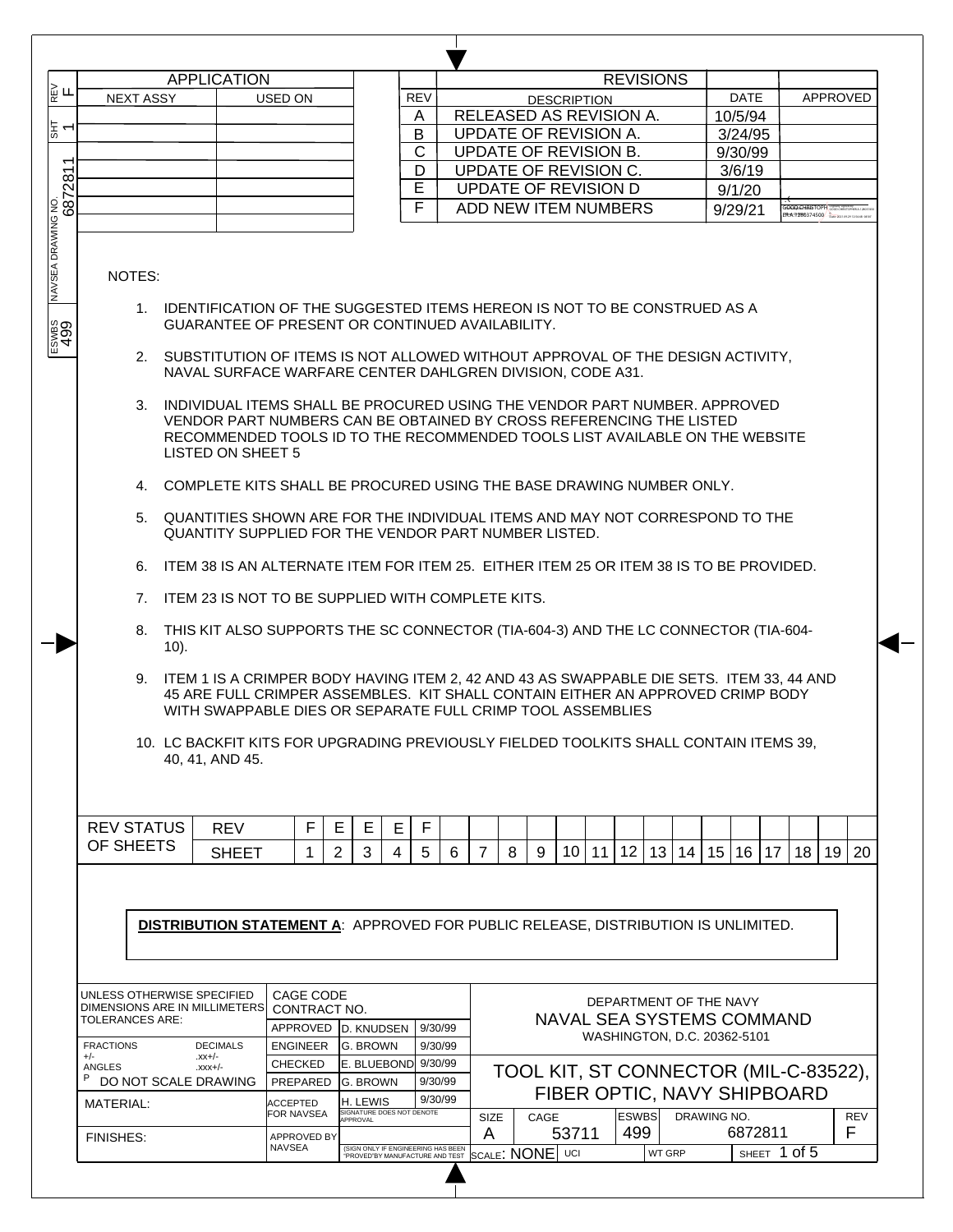|                                                                                          |                               |      | <b>APPLICATION</b>                                                                                                                                                                                                                                                                                                                                                                                                                                                                                                                                                                                                                                                                                                                                                                                                                                                                                                                                                                                                                                                                                                                                                                                       |  |                    |          |          |                           |                |         |                                  |                                       |                             |                        | <b>REVISIONS</b> |                 |      |                 |                             |    |                       |          |            |
|------------------------------------------------------------------------------------------|-------------------------------|------|----------------------------------------------------------------------------------------------------------------------------------------------------------------------------------------------------------------------------------------------------------------------------------------------------------------------------------------------------------------------------------------------------------------------------------------------------------------------------------------------------------------------------------------------------------------------------------------------------------------------------------------------------------------------------------------------------------------------------------------------------------------------------------------------------------------------------------------------------------------------------------------------------------------------------------------------------------------------------------------------------------------------------------------------------------------------------------------------------------------------------------------------------------------------------------------------------------|--|--------------------|----------|----------|---------------------------|----------------|---------|----------------------------------|---------------------------------------|-----------------------------|------------------------|------------------|-----------------|------|-----------------|-----------------------------|----|-----------------------|----------|------------|
| ∏<br>⊯                                                                                   | <b>NEXT ASSY</b>              |      |                                                                                                                                                                                                                                                                                                                                                                                                                                                                                                                                                                                                                                                                                                                                                                                                                                                                                                                                                                                                                                                                                                                                                                                                          |  | USED ON            |          |          |                           | <b>REV</b>     |         |                                  |                                       | <b>DESCRIPTION</b>          |                        |                  |                 |      |                 | <b>DATE</b>                 |    |                       | APPROVED |            |
|                                                                                          |                               |      |                                                                                                                                                                                                                                                                                                                                                                                                                                                                                                                                                                                                                                                                                                                                                                                                                                                                                                                                                                                                                                                                                                                                                                                                          |  |                    |          |          |                           | A              |         |                                  | RELEASED AS REVISION A.               |                             |                        |                  |                 |      |                 | 10/5/94                     |    |                       |          |            |
| 누리                                                                                       |                               |      |                                                                                                                                                                                                                                                                                                                                                                                                                                                                                                                                                                                                                                                                                                                                                                                                                                                                                                                                                                                                                                                                                                                                                                                                          |  |                    |          |          |                           | B              |         |                                  | UPDATE OF REVISION A.                 |                             |                        |                  |                 |      |                 | 3/24/95                     |    |                       |          |            |
|                                                                                          |                               |      |                                                                                                                                                                                                                                                                                                                                                                                                                                                                                                                                                                                                                                                                                                                                                                                                                                                                                                                                                                                                                                                                                                                                                                                                          |  |                    |          |          |                           | $\mathsf{C}$   |         |                                  | UPDATE OF REVISION B.                 |                             |                        |                  |                 |      |                 | 9/30/99                     |    |                       |          |            |
| $\overline{\phantom{0}}$                                                                 |                               |      |                                                                                                                                                                                                                                                                                                                                                                                                                                                                                                                                                                                                                                                                                                                                                                                                                                                                                                                                                                                                                                                                                                                                                                                                          |  |                    |          |          |                           | D              |         |                                  | UPDATE OF REVISION C.                 |                             |                        |                  |                 |      |                 | 3/6/19                      |    |                       |          |            |
| 281                                                                                      |                               |      |                                                                                                                                                                                                                                                                                                                                                                                                                                                                                                                                                                                                                                                                                                                                                                                                                                                                                                                                                                                                                                                                                                                                                                                                          |  |                    |          |          |                           | $\overline{E}$ |         |                                  | <b>UPDATE OF REVISION D</b>           |                             |                        |                  |                 |      |                 | 9/1/20                      |    |                       |          |            |
| 687                                                                                      |                               |      |                                                                                                                                                                                                                                                                                                                                                                                                                                                                                                                                                                                                                                                                                                                                                                                                                                                                                                                                                                                                                                                                                                                                                                                                          |  |                    |          |          |                           | E              |         |                                  |                                       |                             |                        |                  |                 |      |                 |                             |    | <b>GOOD CHAISTOPH</b> |          |            |
|                                                                                          |                               |      |                                                                                                                                                                                                                                                                                                                                                                                                                                                                                                                                                                                                                                                                                                                                                                                                                                                                                                                                                                                                                                                                                                                                                                                                          |  |                    |          |          |                           |                |         |                                  | ADD NEW ITEM NUMBERS                  |                             |                        |                  |                 |      |                 | 9/29/21                     |    | <b>RA99R0374500</b>   |          |            |
| $\frac{200}{25}$                                                                         | NOTES:<br>6.                  | 10). | 1. IDENTIFICATION OF THE SUGGESTED ITEMS HEREON IS NOT TO BE CONSTRUED AS A<br><b>GUARANTEE OF PRESENT OR CONTINUED AVAILABILITY.</b><br>2. SUBSTITUTION OF ITEMS IS NOT ALLOWED WITHOUT APPROVAL OF THE DESIGN ACTIVITY,<br>NAVAL SURFACE WARFARE CENTER DAHLGREN DIVISION, CODE A31.<br>3. INDIVIDUAL ITEMS SHALL BE PROCURED USING THE VENDOR PART NUMBER, APPROVED<br>VENDOR PART NUMBERS CAN BE OBTAINED BY CROSS REFERENCING THE LISTED<br>RECOMMENDED TOOLS ID TO THE RECOMMENDED TOOLS LIST AVAILABLE ON THE WEBSITE<br><b>LISTED ON SHEET 5</b><br>4. COMPLETE KITS SHALL BE PROCURED USING THE BASE DRAWING NUMBER ONLY.<br>5. QUANTITIES SHOWN ARE FOR THE INDIVIDUAL ITEMS AND MAY NOT CORRESPOND TO THE<br>QUANTITY SUPPLIED FOR THE VENDOR PART NUMBER LISTED.<br>ITEM 38 IS AN ALTERNATE ITEM FOR ITEM 25. EITHER ITEM 25 OR ITEM 38 IS TO BE PROVIDED.<br>7. ITEM 23 IS NOT TO BE SUPPLIED WITH COMPLETE KITS.<br>8. THIS KIT ALSO SUPPORTS THE SC CONNECTOR (TIA-604-3) AND THE LC CONNECTOR (TIA-604-<br>9. ITEM 1 IS A CRIMPER BODY HAVING ITEM 2, 42 AND 43 AS SWAPPABLE DIE SETS. ITEM 33, 44 AND<br>45 ARE FULL CRIMPER ASSEMBLES. KIT SHALL CONTAIN EITHER AN APPROVED CRIMP BODY |  |                    |          |          |                           |                |         |                                  |                                       |                             |                        |                  |                 |      |                 |                             |    |                       |          |            |
|                                                                                          |                               |      | WITH SWAPPABLE DIES OR SEPARATE FULL CRIMP TOOL ASSEMBLIES<br>10. LC BACKFIT KITS FOR UPGRADING PREVIOUSLY FIELDED TOOLKITS SHALL CONTAIN ITEMS 39,<br>40, 41, AND 45.                                                                                                                                                                                                                                                                                                                                                                                                                                                                                                                                                                                                                                                                                                                                                                                                                                                                                                                                                                                                                                   |  |                    |          |          |                           |                |         |                                  |                                       |                             |                        |                  |                 |      |                 |                             |    |                       |          |            |
|                                                                                          |                               |      |                                                                                                                                                                                                                                                                                                                                                                                                                                                                                                                                                                                                                                                                                                                                                                                                                                                                                                                                                                                                                                                                                                                                                                                                          |  |                    |          |          |                           |                |         |                                  |                                       |                             |                        |                  |                 |      |                 |                             |    |                       |          |            |
|                                                                                          | <b>REV STATUS</b>             |      | <b>REV</b>                                                                                                                                                                                                                                                                                                                                                                                                                                                                                                                                                                                                                                                                                                                                                                                                                                                                                                                                                                                                                                                                                                                                                                                               |  |                    | F        | E        | Е<br>Е                    | F              |         |                                  |                                       |                             |                        |                  |                 |      |                 |                             |    |                       |          |            |
|                                                                                          | OF SHEETS                     |      | <b>SHEET</b>                                                                                                                                                                                                                                                                                                                                                                                                                                                                                                                                                                                                                                                                                                                                                                                                                                                                                                                                                                                                                                                                                                                                                                                             |  |                    | 1        | 2        | 3<br>$\overline{4}$       | 5              | 6       | $\overline{7}$                   | 8<br>9                                | 10                          | 11 <sup>1</sup>        | 12 <sub>1</sub>  | 13 <sup>1</sup> | 14 l | 15 <sub>1</sub> | 16                          | 17 | 18                    | 19       | 20         |
| <b>DISTRIBUTION STATEMENT A: APPROVED FOR PUBLIC RELEASE, DISTRIBUTION IS UNLIMITED.</b> |                               |      |                                                                                                                                                                                                                                                                                                                                                                                                                                                                                                                                                                                                                                                                                                                                                                                                                                                                                                                                                                                                                                                                                                                                                                                                          |  |                    |          |          |                           |                |         |                                  |                                       |                             |                        |                  |                 |      |                 |                             |    |                       |          |            |
|                                                                                          |                               |      |                                                                                                                                                                                                                                                                                                                                                                                                                                                                                                                                                                                                                                                                                                                                                                                                                                                                                                                                                                                                                                                                                                                                                                                                          |  | CAGE CODE          |          |          |                           |                |         |                                  |                                       |                             |                        |                  |                 |      |                 |                             |    |                       |          |            |
|                                                                                          | UNLESS OTHERWISE SPECIFIED    |      |                                                                                                                                                                                                                                                                                                                                                                                                                                                                                                                                                                                                                                                                                                                                                                                                                                                                                                                                                                                                                                                                                                                                                                                                          |  | CONTRACT NO.       |          |          |                           |                |         |                                  |                                       |                             | DEPARTMENT OF THE NAVY |                  |                 |      |                 |                             |    |                       |          |            |
|                                                                                          | DIMENSIONS ARE IN MILLIMETERS |      | TOLERANCES ARE:                                                                                                                                                                                                                                                                                                                                                                                                                                                                                                                                                                                                                                                                                                                                                                                                                                                                                                                                                                                                                                                                                                                                                                                          |  |                    | APPROVED |          | D. KNUDSEN                |                | 9/30/99 | <b>NAVAL SEA SYSTEMS COMMAND</b> |                                       |                             |                        |                  |                 |      |                 |                             |    |                       |          |            |
|                                                                                          |                               |      |                                                                                                                                                                                                                                                                                                                                                                                                                                                                                                                                                                                                                                                                                                                                                                                                                                                                                                                                                                                                                                                                                                                                                                                                          |  |                    |          |          |                           |                | 9/30/99 |                                  |                                       |                             |                        |                  |                 |      |                 | WASHINGTON, D.C. 20362-5101 |    |                       |          |            |
|                                                                                          |                               |      |                                                                                                                                                                                                                                                                                                                                                                                                                                                                                                                                                                                                                                                                                                                                                                                                                                                                                                                                                                                                                                                                                                                                                                                                          |  |                    |          |          |                           |                |         |                                  |                                       |                             |                        |                  |                 |      |                 |                             |    |                       |          |            |
|                                                                                          | <b>FRACTIONS</b><br>$+/-$     |      | <b>DECIMALS</b><br>$-xx+/-$                                                                                                                                                                                                                                                                                                                                                                                                                                                                                                                                                                                                                                                                                                                                                                                                                                                                                                                                                                                                                                                                                                                                                                              |  | <b>ENGINEER</b>    |          |          | G. BROWN                  |                |         |                                  |                                       |                             |                        |                  |                 |      |                 |                             |    |                       |          |            |
|                                                                                          | ANGLES                        |      | $-xxx+/-$                                                                                                                                                                                                                                                                                                                                                                                                                                                                                                                                                                                                                                                                                                                                                                                                                                                                                                                                                                                                                                                                                                                                                                                                |  | <b>CHECKED</b>     |          |          | E. BLUEBOND 9/30/99       |                |         |                                  | TOOL KIT, ST CONNECTOR (MIL-C-83522), |                             |                        |                  |                 |      |                 |                             |    |                       |          |            |
|                                                                                          | Ρ<br>DO NOT SCALE DRAWING     |      |                                                                                                                                                                                                                                                                                                                                                                                                                                                                                                                                                                                                                                                                                                                                                                                                                                                                                                                                                                                                                                                                                                                                                                                                          |  | PREPARED           |          |          | <b>G. BROWN</b>           |                | 9/30/99 |                                  |                                       |                             |                        |                  |                 |      |                 |                             |    |                       |          |            |
|                                                                                          | <b>MATERIAL:</b>              |      |                                                                                                                                                                                                                                                                                                                                                                                                                                                                                                                                                                                                                                                                                                                                                                                                                                                                                                                                                                                                                                                                                                                                                                                                          |  | <b>ACCEPTED</b>    |          |          | H. LEWIS                  |                | 9/30/99 |                                  |                                       | FIBER OPTIC, NAVY SHIPBOARD |                        |                  |                 |      |                 |                             |    |                       |          |            |
|                                                                                          |                               |      |                                                                                                                                                                                                                                                                                                                                                                                                                                                                                                                                                                                                                                                                                                                                                                                                                                                                                                                                                                                                                                                                                                                                                                                                          |  | FOR NAVSEA         |          | APPROVAL | SIGNATURE DOES NOT DENOTE |                |         | SIZE                             | CAGE                                  |                             |                        | <b>ESWBS</b>     |                 |      | DRAWING NO.     |                             |    |                       |          | <b>REV</b> |
|                                                                                          | <b>FINISHES:</b>              |      |                                                                                                                                                                                                                                                                                                                                                                                                                                                                                                                                                                                                                                                                                                                                                                                                                                                                                                                                                                                                                                                                                                                                                                                                          |  | <b>APPROVED BY</b> |          |          |                           |                |         | A                                |                                       | 53711                       |                        | 499              |                 |      |                 | 6872811                     |    |                       |          | F          |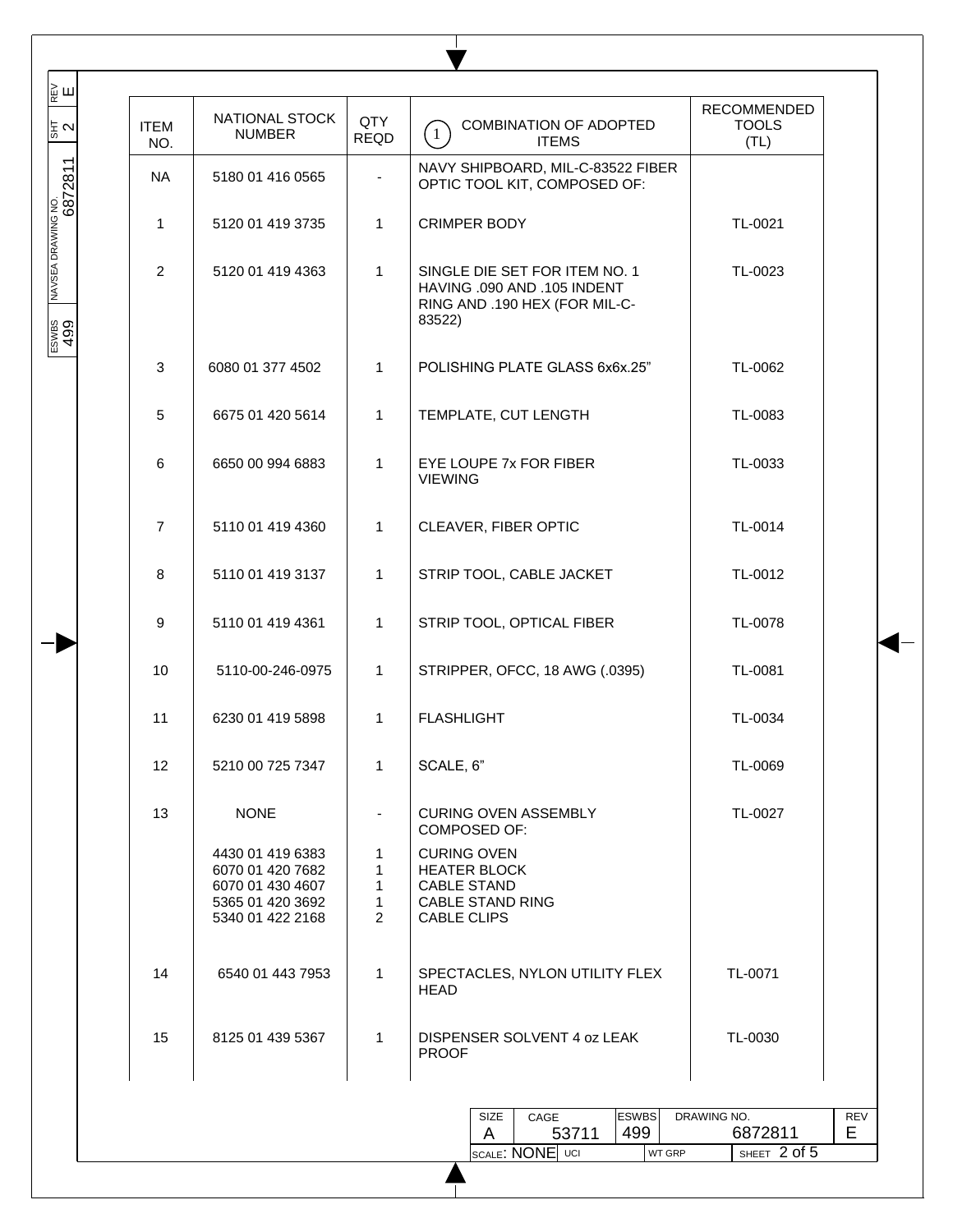| NAVSEA DRAWING NO.<br> <br>  G872811<br>NAVY SHIPBOARD, MIL-C-83522 FIBER<br>NA<br>5180 01 416 0565<br>OPTIC TOOL KIT, COMPOSED OF:<br>$\mathbf{1}$<br><b>CRIMPER BODY</b><br>TL-0021<br>$\mathbf{1}$<br>5120 01 419 3735<br>$\overline{2}$<br>5120 01 419 4363<br>1<br>SINGLE DIE SET FOR ITEM NO. 1<br>TL-0023<br>HAVING .090 AND .105 INDENT<br>RING AND .190 HEX (FOR MIL-C-<br>83522)<br>ESWBS<br>499<br>6080 01 377 4502<br>1<br>POLISHING PLATE GLASS 6x6x.25"<br>TL-0062<br>3<br>5<br>6675 01 420 5614<br>TEMPLATE, CUT LENGTH<br>TL-0083<br>1<br>6<br>6650 00 994 6883<br>1<br>EYE LOUPE 7x FOR FIBER<br>TL-0033<br><b>VIEWING</b><br>$\overline{7}$<br>5110 01 419 4360<br>CLEAVER, FIBER OPTIC<br>TL-0014<br>1<br>STRIP TOOL, CABLE JACKET<br>8<br>5110 01 419 3137<br>1<br>TL-0012<br>9<br>5110 01 419 4361<br>1<br>STRIP TOOL, OPTICAL FIBER<br>TL-0078<br>10<br>1<br>STRIPPER, OFCC, 18 AWG (.0395)<br>TL-0081<br>5110-00-246-0975<br>11<br><b>FLASHLIGHT</b><br>TL-0034<br>6230 01 419 5898<br>1<br>12<br>1<br>SCALE, 6"<br>5210 00 725 7347<br>TL-0069<br>13<br><b>NONE</b><br><b>CURING OVEN ASSEMBLY</b><br>TL-0027<br>COMPOSED OF:<br><b>CURING OVEN</b><br>4430 01 419 6383<br>1<br>6070 01 420 7682<br><b>HEATER BLOCK</b><br>1<br>6070 01 430 4607<br>1<br><b>CABLE STAND</b><br>5365 01 420 3692<br><b>CABLE STAND RING</b><br>1<br>$\overline{2}$<br><b>CABLE CLIPS</b><br>5340 01 422 2168<br>14<br>TL-0071<br>6540 01 443 7953<br>1<br>SPECTACLES, NYLON UTILITY FLEX<br>HEAD<br>$\mathbf{1}$<br>15<br>DISPENSER SOLVENT 4 oz LEAK<br>TL-0030<br>8125 01 439 5367<br><b>PROOF</b> | l<br>동지 | <b>ITEM</b><br>NO. | NATIONAL STOCK<br><b>NUMBER</b> | QTY<br><b>REQD</b> | COMBINATION OF ADOPTED<br>(1)<br><b>ITEMS</b>  | <b>RECOMMENDED</b><br><b>TOOLS</b><br>(TL) |
|-------------------------------------------------------------------------------------------------------------------------------------------------------------------------------------------------------------------------------------------------------------------------------------------------------------------------------------------------------------------------------------------------------------------------------------------------------------------------------------------------------------------------------------------------------------------------------------------------------------------------------------------------------------------------------------------------------------------------------------------------------------------------------------------------------------------------------------------------------------------------------------------------------------------------------------------------------------------------------------------------------------------------------------------------------------------------------------------------------------------------------------------------------------------------------------------------------------------------------------------------------------------------------------------------------------------------------------------------------------------------------------------------------------------------------------------------------------------------------------------------------------------------------------------------------------------------------------------------------------|---------|--------------------|---------------------------------|--------------------|------------------------------------------------|--------------------------------------------|
|                                                                                                                                                                                                                                                                                                                                                                                                                                                                                                                                                                                                                                                                                                                                                                                                                                                                                                                                                                                                                                                                                                                                                                                                                                                                                                                                                                                                                                                                                                                                                                                                             |         |                    |                                 |                    |                                                |                                            |
|                                                                                                                                                                                                                                                                                                                                                                                                                                                                                                                                                                                                                                                                                                                                                                                                                                                                                                                                                                                                                                                                                                                                                                                                                                                                                                                                                                                                                                                                                                                                                                                                             |         |                    |                                 |                    |                                                |                                            |
|                                                                                                                                                                                                                                                                                                                                                                                                                                                                                                                                                                                                                                                                                                                                                                                                                                                                                                                                                                                                                                                                                                                                                                                                                                                                                                                                                                                                                                                                                                                                                                                                             |         |                    |                                 |                    |                                                |                                            |
|                                                                                                                                                                                                                                                                                                                                                                                                                                                                                                                                                                                                                                                                                                                                                                                                                                                                                                                                                                                                                                                                                                                                                                                                                                                                                                                                                                                                                                                                                                                                                                                                             |         |                    |                                 |                    |                                                |                                            |
|                                                                                                                                                                                                                                                                                                                                                                                                                                                                                                                                                                                                                                                                                                                                                                                                                                                                                                                                                                                                                                                                                                                                                                                                                                                                                                                                                                                                                                                                                                                                                                                                             |         |                    |                                 |                    |                                                |                                            |
|                                                                                                                                                                                                                                                                                                                                                                                                                                                                                                                                                                                                                                                                                                                                                                                                                                                                                                                                                                                                                                                                                                                                                                                                                                                                                                                                                                                                                                                                                                                                                                                                             |         |                    |                                 |                    |                                                |                                            |
|                                                                                                                                                                                                                                                                                                                                                                                                                                                                                                                                                                                                                                                                                                                                                                                                                                                                                                                                                                                                                                                                                                                                                                                                                                                                                                                                                                                                                                                                                                                                                                                                             |         |                    |                                 |                    |                                                |                                            |
|                                                                                                                                                                                                                                                                                                                                                                                                                                                                                                                                                                                                                                                                                                                                                                                                                                                                                                                                                                                                                                                                                                                                                                                                                                                                                                                                                                                                                                                                                                                                                                                                             |         |                    |                                 |                    |                                                |                                            |
|                                                                                                                                                                                                                                                                                                                                                                                                                                                                                                                                                                                                                                                                                                                                                                                                                                                                                                                                                                                                                                                                                                                                                                                                                                                                                                                                                                                                                                                                                                                                                                                                             |         |                    |                                 |                    |                                                |                                            |
|                                                                                                                                                                                                                                                                                                                                                                                                                                                                                                                                                                                                                                                                                                                                                                                                                                                                                                                                                                                                                                                                                                                                                                                                                                                                                                                                                                                                                                                                                                                                                                                                             |         |                    |                                 |                    |                                                |                                            |
|                                                                                                                                                                                                                                                                                                                                                                                                                                                                                                                                                                                                                                                                                                                                                                                                                                                                                                                                                                                                                                                                                                                                                                                                                                                                                                                                                                                                                                                                                                                                                                                                             |         |                    |                                 |                    |                                                |                                            |
|                                                                                                                                                                                                                                                                                                                                                                                                                                                                                                                                                                                                                                                                                                                                                                                                                                                                                                                                                                                                                                                                                                                                                                                                                                                                                                                                                                                                                                                                                                                                                                                                             |         |                    |                                 |                    |                                                |                                            |
|                                                                                                                                                                                                                                                                                                                                                                                                                                                                                                                                                                                                                                                                                                                                                                                                                                                                                                                                                                                                                                                                                                                                                                                                                                                                                                                                                                                                                                                                                                                                                                                                             |         |                    |                                 |                    |                                                |                                            |
|                                                                                                                                                                                                                                                                                                                                                                                                                                                                                                                                                                                                                                                                                                                                                                                                                                                                                                                                                                                                                                                                                                                                                                                                                                                                                                                                                                                                                                                                                                                                                                                                             |         |                    |                                 |                    |                                                |                                            |
|                                                                                                                                                                                                                                                                                                                                                                                                                                                                                                                                                                                                                                                                                                                                                                                                                                                                                                                                                                                                                                                                                                                                                                                                                                                                                                                                                                                                                                                                                                                                                                                                             |         |                    |                                 |                    |                                                |                                            |
|                                                                                                                                                                                                                                                                                                                                                                                                                                                                                                                                                                                                                                                                                                                                                                                                                                                                                                                                                                                                                                                                                                                                                                                                                                                                                                                                                                                                                                                                                                                                                                                                             |         |                    |                                 |                    |                                                |                                            |
|                                                                                                                                                                                                                                                                                                                                                                                                                                                                                                                                                                                                                                                                                                                                                                                                                                                                                                                                                                                                                                                                                                                                                                                                                                                                                                                                                                                                                                                                                                                                                                                                             |         |                    |                                 |                    | 499<br>53711<br>A<br>SCALE: NONE UCI<br>WT GRP | Е<br>6872811<br>SHEET 2 of 5               |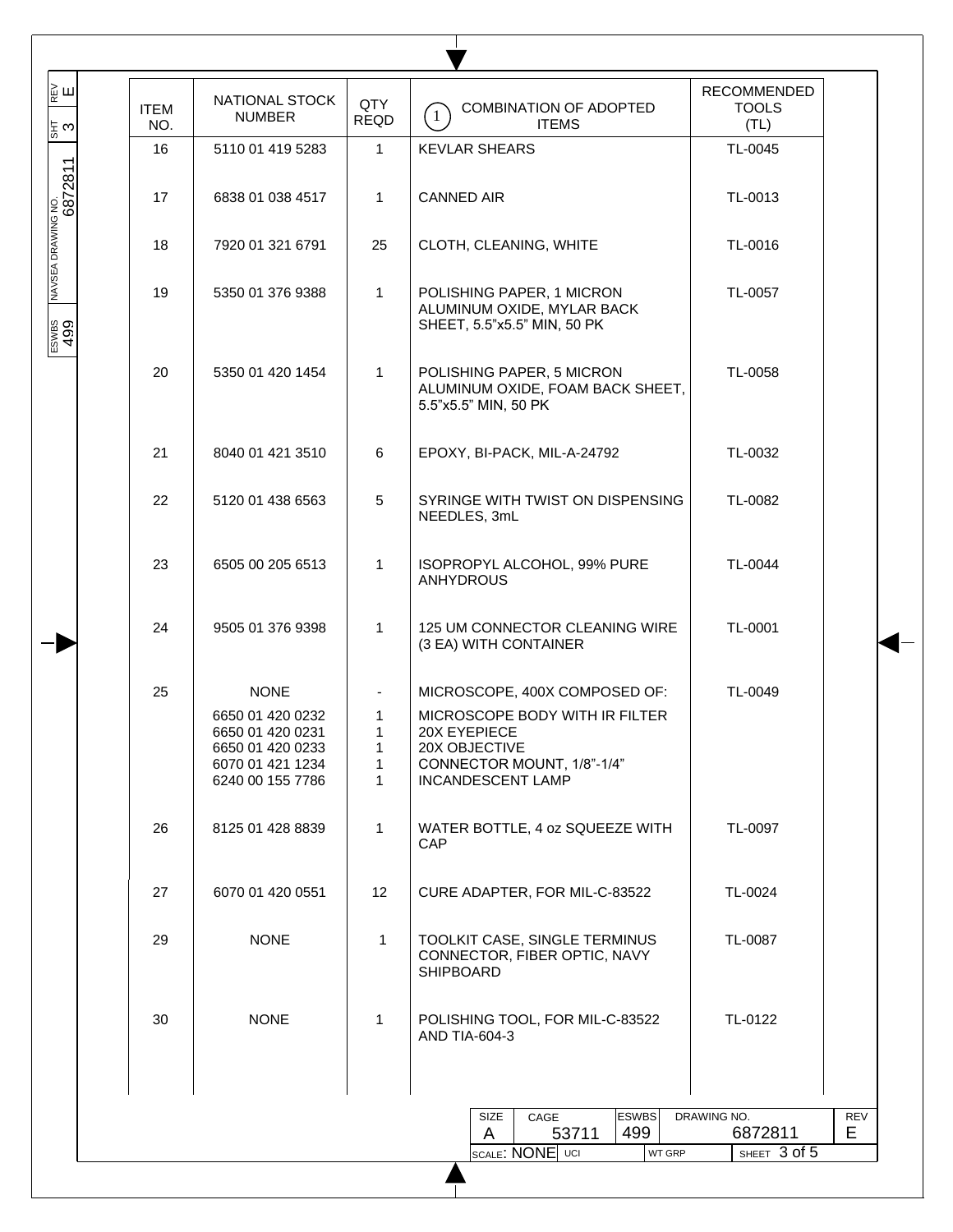| lу<br>⊮<br>¦≅ ట               | <b>ITEM</b><br>NO. | NATIONAL STOCK<br><b>NUMBER</b>                                                                                 | QTY<br><b>REQD</b>         | COMBINATION OF ADOPTED<br>$\mathbf{1}$<br><b>ITEMS</b>                                                                                                     | RECOMMENDED<br><b>TOOLS</b><br>(TL) |            |
|-------------------------------|--------------------|-----------------------------------------------------------------------------------------------------------------|----------------------------|------------------------------------------------------------------------------------------------------------------------------------------------------------|-------------------------------------|------------|
|                               | 16                 | 5110 01 419 5283                                                                                                | $\mathbf{1}$               | <b>KEVLAR SHEARS</b>                                                                                                                                       | TL-0045                             |            |
| NAVSEA DRAWING NO.<br>6872811 | 17                 | 6838 01 038 4517                                                                                                | $\mathbf{1}$               | <b>CANNED AIR</b>                                                                                                                                          | TL-0013                             |            |
|                               | 18                 | 7920 01 321 6791                                                                                                | 25                         | CLOTH, CLEANING, WHITE                                                                                                                                     | TL-0016                             |            |
| ESWBS<br>499                  | 19                 | 5350 01 376 9388                                                                                                | $\mathbf 1$                | POLISHING PAPER, 1 MICRON<br>ALUMINUM OXIDE, MYLAR BACK<br>SHEET, 5.5"x5.5" MIN, 50 PK                                                                     | TL-0057                             |            |
|                               | 20                 | 5350 01 420 1454                                                                                                | $\mathbf 1$                | POLISHING PAPER, 5 MICRON<br>ALUMINUM OXIDE, FOAM BACK SHEET,<br>5.5"x5.5" MIN, 50 PK                                                                      | TL-0058                             |            |
|                               | 21                 | 8040 01 421 3510                                                                                                | 6                          | EPOXY, BI-PACK, MIL-A-24792                                                                                                                                | TL-0032                             |            |
|                               | 22                 | 5120 01 438 6563                                                                                                | 5                          | SYRINGE WITH TWIST ON DISPENSING<br>NEEDLES, 3mL                                                                                                           | TL-0082                             |            |
|                               | 23                 | 6505 00 205 6513                                                                                                | $\mathbf{1}$               | ISOPROPYL ALCOHOL, 99% PURE<br><b>ANHYDROUS</b>                                                                                                            | TL-0044                             |            |
|                               | 24                 | 9505 01 376 9398                                                                                                | $\mathbf{1}$               | 125 UM CONNECTOR CLEANING WIRE<br>(3 EA) WITH CONTAINER                                                                                                    | TL-0001                             |            |
|                               | 25                 | <b>NONE</b><br>6650 01 420 0232<br>6650 01 420 0231<br>6650 01 420 0233<br>6070 01 421 1234<br>6240 00 155 7786 | 1<br>1<br>1<br>$\mathbf 1$ | MICROSCOPE, 400X COMPOSED OF:<br>MICROSCOPE BODY WITH IR FILTER<br>20X EYEPIECE<br>20X OBJECTIVE<br>CONNECTOR MOUNT, 1/8"-1/4"<br><b>INCANDESCENT LAMP</b> | TL-0049                             |            |
|                               | 26                 | 8125 01 428 8839                                                                                                | $\mathbf{1}$               | WATER BOTTLE, 4 oz SQUEEZE WITH<br>CAP                                                                                                                     | TL-0097                             |            |
|                               | 27                 | 6070 01 420 0551                                                                                                | 12                         | CURE ADAPTER, FOR MIL-C-83522                                                                                                                              | TL-0024                             |            |
|                               | 29                 | <b>NONE</b>                                                                                                     | $\mathbf{1}$               | TOOLKIT CASE, SINGLE TERMINUS<br>CONNECTOR, FIBER OPTIC, NAVY<br><b>SHIPBOARD</b>                                                                          | TL-0087                             |            |
|                               | 30                 | <b>NONE</b>                                                                                                     | $\mathbf{1}$               | POLISHING TOOL, FOR MIL-C-83522<br>AND TIA-604-3                                                                                                           | TL-0122                             |            |
|                               |                    |                                                                                                                 |                            | <b>ESWBS</b><br>SIZE<br>CAGE                                                                                                                               | DRAWING NO.                         | <b>REV</b> |
|                               |                    |                                                                                                                 |                            | 499<br>53711<br>A<br>SCALE: NONE UCI<br><b>WT GRP</b>                                                                                                      | 6872811<br>SHEET 3 of 5             | E.         |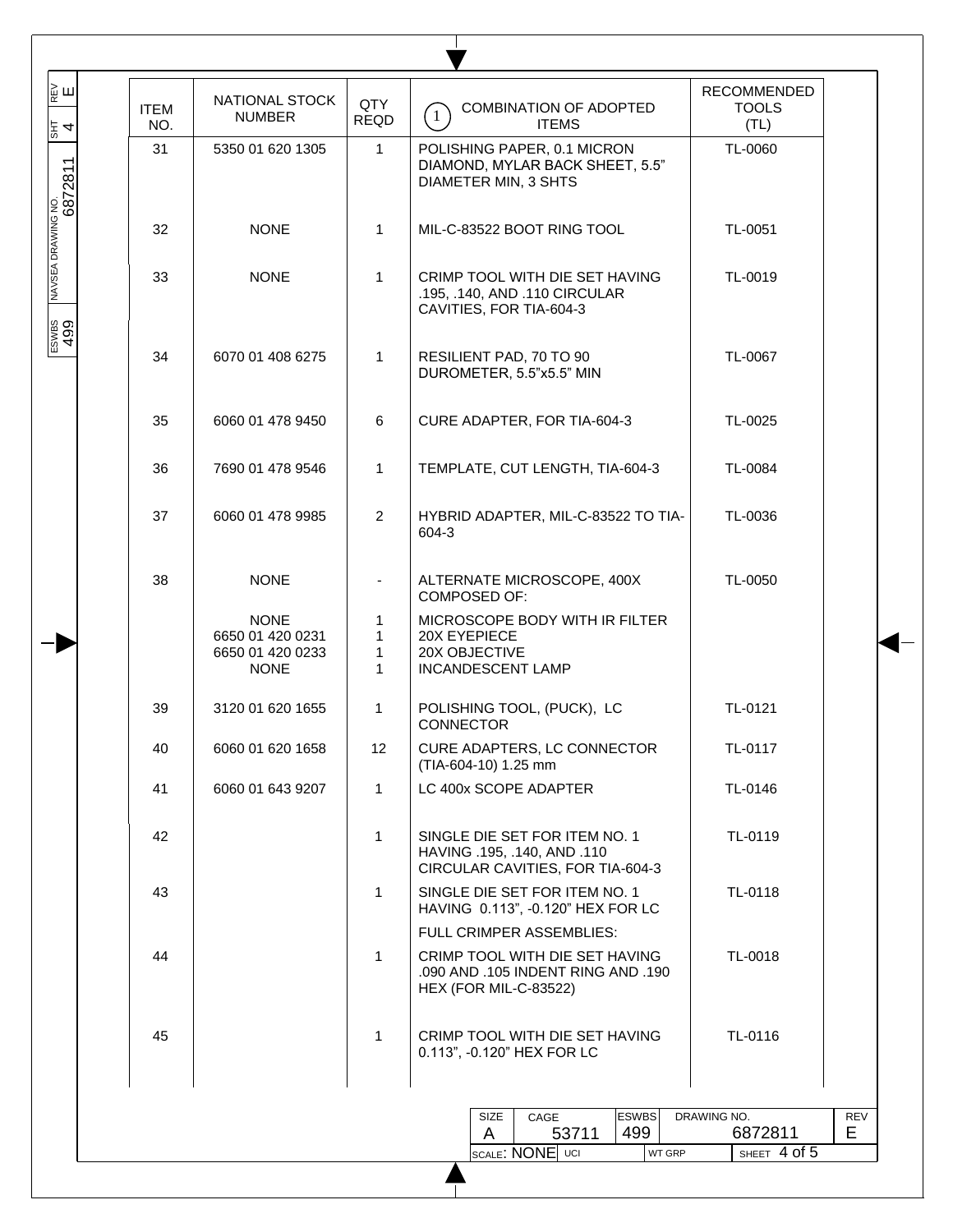| ∦<br>∥∉ш<br>통 4             | <b>ITEM</b><br>NO. | NATIONAL STOCK<br><b>NUMBER</b>                                    | QTY<br><b>REQD</b> | COMBINATION OF ADOPTED<br>$\boxed{1}$<br><b>ITEMS</b>                                                                            | <b>RECOMMENDED</b><br><b>TOOLS</b><br>(TL) |           |
|-----------------------------|--------------------|--------------------------------------------------------------------|--------------------|----------------------------------------------------------------------------------------------------------------------------------|--------------------------------------------|-----------|
|                             | 31                 | 5350 01 620 1305                                                   | $\mathbf{1}$       | POLISHING PAPER, 0.1 MICRON<br>DIAMOND, MYLAR BACK SHEET, 5.5"<br>DIAMETER MIN, 3 SHTS                                           | TL-0060                                    |           |
|                             | 32                 | <b>NONE</b>                                                        | $\mathbf{1}$       | MIL-C-83522 BOOT RING TOOL                                                                                                       | TL-0051                                    |           |
| NAVSEA DRAWING NO.<br> <br> | 33                 | <b>NONE</b>                                                        | $\mathbf{1}$       | CRIMP TOOL WITH DIE SET HAVING<br>.195, .140, AND .110 CIRCULAR<br>CAVITIES, FOR TIA-604-3                                       | TL-0019                                    |           |
| ESWES<br>499                | 34                 | 6070 01 408 6275                                                   | 1                  | RESILIENT PAD, 70 TO 90<br>DUROMETER, 5.5"x5.5" MIN                                                                              | TL-0067                                    |           |
|                             | 35                 | 6060 01 478 9450                                                   | 6                  | CURE ADAPTER, FOR TIA-604-3                                                                                                      | TL-0025                                    |           |
|                             | 36                 | 7690 01 478 9546                                                   | $\mathbf{1}$       | TEMPLATE, CUT LENGTH, TIA-604-3                                                                                                  | TL-0084                                    |           |
|                             | 37                 | 6060 01 478 9985                                                   | $\overline{2}$     | HYBRID ADAPTER, MIL-C-83522 TO TIA-<br>604-3                                                                                     | TL-0036                                    |           |
|                             | 38                 | <b>NONE</b>                                                        |                    | ALTERNATE MICROSCOPE, 400X<br><b>COMPOSED OF:</b>                                                                                | TL-0050                                    |           |
|                             |                    | <b>NONE</b><br>6650 01 420 0231<br>6650 01 420 0233<br><b>NONE</b> | 1<br>1<br>1<br>1   | MICROSCOPE BODY WITH IR FILTER<br>20X EYEPIECE<br>20X OBJECTIVE<br><b>INCANDESCENT LAMP</b>                                      |                                            |           |
|                             | 39                 | 3120 01 620 1655                                                   | $\mathbf{1}$       | POLISHING TOOL, (PUCK), LC<br><b>CONNECTOR</b>                                                                                   | TL-0121                                    |           |
|                             | 40                 | 6060 01 620 1658                                                   | 12                 | CURE ADAPTERS, LC CONNECTOR<br>(TIA-604-10) 1.25 mm                                                                              | TL-0117                                    |           |
|                             | 41                 | 6060 01 643 9207                                                   | $\mathbf{1}$       | LC 400x SCOPE ADAPTER                                                                                                            | TL-0146                                    |           |
|                             | 42                 |                                                                    | $\mathbf{1}$       | SINGLE DIE SET FOR ITEM NO. 1<br>HAVING .195, .140, AND .110<br>CIRCULAR CAVITIES, FOR TIA-604-3                                 | TL-0119                                    |           |
|                             | 43                 |                                                                    | $\mathbf{1}$       | SINGLE DIE SET FOR ITEM NO. 1<br>HAVING 0.113", -0.120" HEX FOR LC                                                               | TL-0118                                    |           |
|                             | 44                 |                                                                    | $\mathbf{1}$       | FULL CRIMPER ASSEMBLIES:<br>CRIMP TOOL WITH DIE SET HAVING<br>.090 AND .105 INDENT RING AND .190<br><b>HEX (FOR MIL-C-83522)</b> | TL-0018                                    |           |
|                             | 45                 |                                                                    | $\mathbf{1}$       | CRIMP TOOL WITH DIE SET HAVING<br>0.113", -0.120" HEX FOR LC                                                                     | TL-0116                                    |           |
|                             |                    |                                                                    |                    | <b>ESWBS</b><br>SIZE<br>CAGE<br>499<br>A<br>53711                                                                                | DRAWING NO.<br>6872811                     | REV<br>E. |
|                             |                    |                                                                    |                    | SCALE: NONE UCI<br>WT GRP                                                                                                        | SHEET 4 of 5                               |           |